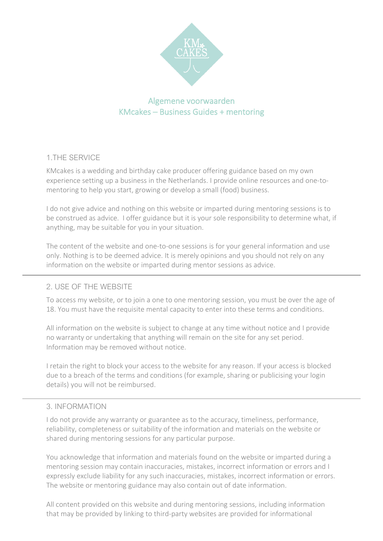

# Algemene voorwaarden KMcakes – Business Guides + mentoring

### 1.THE SERVICE

KMcakes is a wedding and birthday cake producer offering guidance based on my own experience setting up a business in the Netherlands. I provide online resources and one-tomentoring to help you start, growing or develop a small (food) business.

I do not give advice and nothing on this website or imparted during mentoring sessions is to be construed as advice. I offer guidance but it is your sole responsibility to determine what, if anything, may be suitable for you in your situation.

The content of the website and one-to-one sessions is for your general information and use only. Nothing is to be deemed advice. It is merely opinions and you should not rely on any information on the website or imparted during mentor sessions as advice.

### 2. USE OFTHE WEBSITE

To access my website, or to join a one to one mentoring session, you must be over the age of 18. You must have the requisite mental capacity to enter into these terms and conditions.

All information on the website is subject to change at any time without notice and I provide no warranty or undertaking that anything will remain on the site for any set period. Information may be removed without notice.

I retain the right to block your access to the website for any reason. If your access is blocked due to a breach of the terms and conditions (for example, sharing or publicising your login details) you will not be reimbursed.

### 3. INFORMATION

I do not provide any warranty or guarantee as to the accuracy, timeliness, performance, reliability, completeness or suitability of the information and materials on the website or shared during mentoring sessions for any particular purpose.

You acknowledge that information and materials found on the website or imparted during a mentoring session may contain inaccuracies, mistakes, incorrect information or errors and I expressly exclude liability for any such inaccuracies, mistakes, incorrect information or errors. The website or mentoring guidance may also contain out of date information.

All content provided on this website and during mentoring sessions, including information that may be provided by linking to third-party websites are provided for informational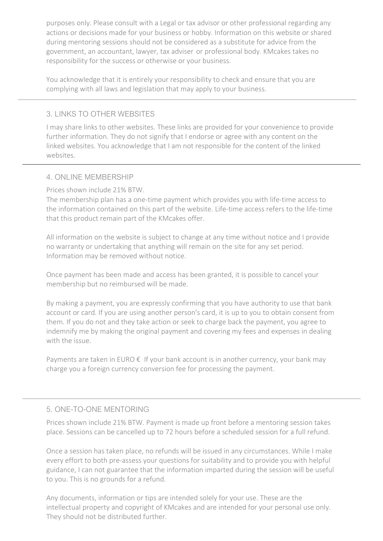purposes only. Please consult with a Legal or tax advisor or other professional regarding any actions or decisions made for your business or hobby. Information on this website or shared during mentoring sessions should not be considered as a substitute for advice from the government, an accountant, lawyer, tax adviser or professional body. KMcakes takes no responsibility for the success or otherwise or your business.

You acknowledge that it is entirely your responsibility to check and ensure that you are complying with all laws and legislation that may apply to your business.

### 3.LINKS TO OTHER WEBSITES

I may share links to other websites. These links are provided for your convenience to provide further information. They do not signify that I endorse or agree with any content on the linked websites. You acknowledge that I am not responsible for the content of the linked websites.

#### 4. ONLINE MEMBERSHIP

Prices shown include 21% BTW.

The membership plan has a one-time payment which provides you with life-time access to the information contained on this part of the website. Life-time access refers to the life-time that this product remain part of the KMcakes offer.

All information on the website is subject to change at any time without notice and I provide no warranty or undertaking that anything will remain on the site for any set period. Information may be removed without notice.

Once payment has been made and access has been granted, it is possible to cancel your membership but no reimbursed will be made.

By making a payment, you are expressly confirming that you have authority to use that bank account or card. If you are using another person's card, it is up to you to obtain consent from them. If you do not and they take action or seek to charge back the payment, you agree to indemnify me by making the original payment and covering my fees and expenses in dealing with the issue.

Payments are taken in EURO  $\epsilon$  If your bank account is in another currency, your bank may charge you a foreign currency conversion fee for processing the payment.

### 5. ONE-TO-ONE MENTORING

Prices shown include 21% BTW. Payment is made up front before a mentoring session takes place. Sessions can be cancelled up to 72 hours before a scheduled session for a full refund.

Once a session has taken place, no refunds will be issued in any circumstances. While I make every effort to both pre-assess your questions for suitability and to provide you with helpful guidance, I can not guarantee that the information imparted during the session will be useful to you. This is no grounds for a refund.

Any documents, information or tips are intended solely for your use. These are the intellectual property and copyright of KMcakes and are intended for your personal use only. They should not be distributed further.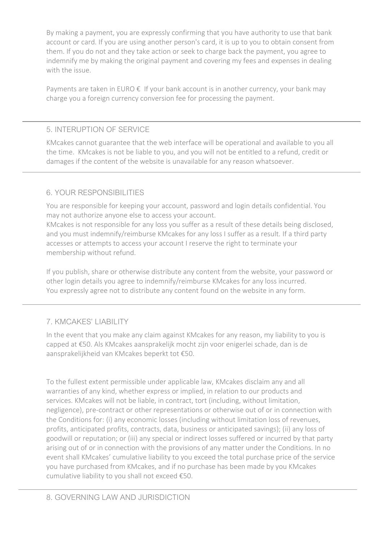By making a payment, you are expressly confirming that you have authority to use that bank account or card. If you are using another person's card, it is up to you to obtain consent from them. If you do not and they take action or seek to charge back the payment, you agree to indemnify me by making the original payment and covering my fees and expenses in dealing with the issue.

Payments are taken in EURO  $\epsilon$  If your bank account is in another currency, your bank may charge you a foreign currency conversion fee for processing the payment.

### 5. INTERUPTION OF SERVICE

KMcakes cannot guarantee that the web interface will be operational and available to you all the time. KMcakes is not be liable to you, and you will not be entitled to a refund, credit or damages if the content of the website is unavailable for any reason whatsoever.

## 6. YOUR RESPONSIBILITIES

You are responsible for keeping your account, password and login details confidential. You may not authorize anyone else to access your account.

KMcakes is not responsible for any loss you suffer as a result of these details being disclosed, and you must indemnify/reimburse KMcakes for any loss I suffer as a result. If a third party accesses or attempts to access your account I reserve the right to terminate your membership without refund.

If you publish, share or otherwise distribute any content from the website, your password or other login details you agree to indemnify/reimburse KMcakes for any loss incurred. You expressly agree not to distribute any content found on the website in any form.

### 7. KMCAKES' LIABILITY

In the event that you make any claim against KMcakes for any reason, my liability to you is capped at €50. Als KMcakes aansprakelijk mocht zijn voor enigerlei schade, dan is de aansprakelijkheid van KMcakes beperkt tot €50.

To the fullest extent permissible under applicable law, KMcakes disclaim any and all warranties of any kind, whether express or implied, in relation to our products and services. KMcakes will not be liable, in contract, tort (including, without limitation, negligence), pre-contract or other representations or otherwise out of or in connection with the Conditions for: (i) any economic losses (including without limitation loss of revenues, profits, anticipated profits, contracts, data, business or anticipated savings); (ii) any loss of goodwill or reputation; or (iii) any special or indirect losses suffered or incurred by that party arising out of or in connection with the provisions of any matter under the Conditions. In no event shall KMcakes' cumulative liability to you exceed the total purchase price of the service you have purchased from KMcakes, and if no purchase has been made by you KMcakes cumulative liability to you shall not exceed €50.